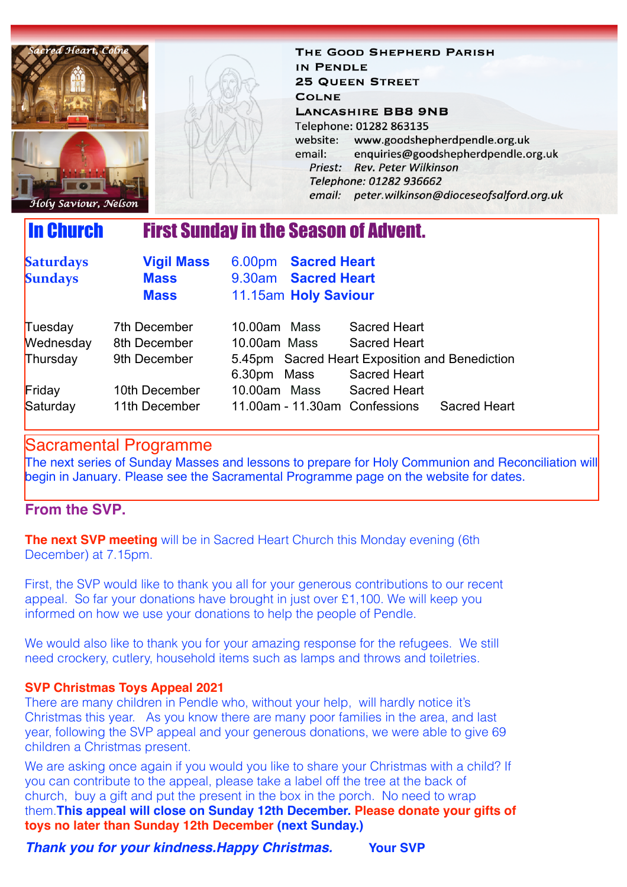

THE GOOD SHEPHERD PARISH IN PENDLE **25 QUEEN STREET COLNE LANCASHIRE BB8 9NB** Telephone: 01282 863135 website: www.goodshepherdpendle.org.uk email: enquiries@goodshepherdpendle.org.uk Priest: Rev. Peter Wilkinson Telephone: 01282 936662 email: peter.wilkinson@dioceseofsalford.org.uk

Holy Saviour, Nelson

# In Church First Sunday in the Season of Advent.

| <b>Saturdays</b><br><b>Sundays</b> | <b>Vigil Mass</b><br><b>Mass</b><br><b>Mass</b> | 6.00pm Sacred Heart<br>9.30am Sacred Heart<br>11.15am Holy Saviour |                                                                       |
|------------------------------------|-------------------------------------------------|--------------------------------------------------------------------|-----------------------------------------------------------------------|
| Tuesday                            | 7th December                                    | 10.00am Mass                                                       | Sacred Heart                                                          |
| Wednesday                          | 8th December                                    | 10.00am Mass                                                       | Sacred Heart                                                          |
| Thursday                           | 9th December                                    | 6.30pm Mass                                                        | 5.45pm Sacred Heart Exposition and Benediction<br><b>Sacred Heart</b> |
| Friday                             | 10th December                                   | 10.00am Mass                                                       | <b>Sacred Heart</b>                                                   |
| Saturday                           | 11th December                                   | 11.00am - 11.30am Confessions                                      | <b>Sacred Heart</b>                                                   |

## Sacramental Programme

The next series of Sunday Masses and lessons to prepare for Holy Communion and Reconciliation will begin in January. Please see the Sacramental Programme page on the website for dates.

### **From the SVP.**

**The next SVP meeting** will be in Sacred Heart Church this Monday evening (6th) December) at 7.15pm.

First, the SVP would like to thank you all for your generous contributions to our recent appeal. So far your donations have brought in just over £1,100. We will keep you informed on how we use your donations to help the people of Pendle.

We would also like to thank you for your amazing response for the refugees. We still need crockery, cutlery, household items such as lamps and throws and toiletries.

#### **SVP Christmas Toys Appeal 2021**

There are many children in Pendle who, without your help, will hardly notice it's Christmas this year. As you know there are many poor families in the area, and last year, following the SVP appeal and your generous donations, we were able to give 69 children a Christmas present.

We are asking once again if you would you like to share your Christmas with a child? If you can contribute to the appeal, please take a label off the tree at the back of church, buy a gift and put the present in the box in the porch. No need to wrap them.**This appeal will close on Sunday 12th December. Please donate your gifts of toys no later than Sunday 12th December (next Sunday.)** 

*Thank you for your kindness.Happy Christmas.* **Your SVP**